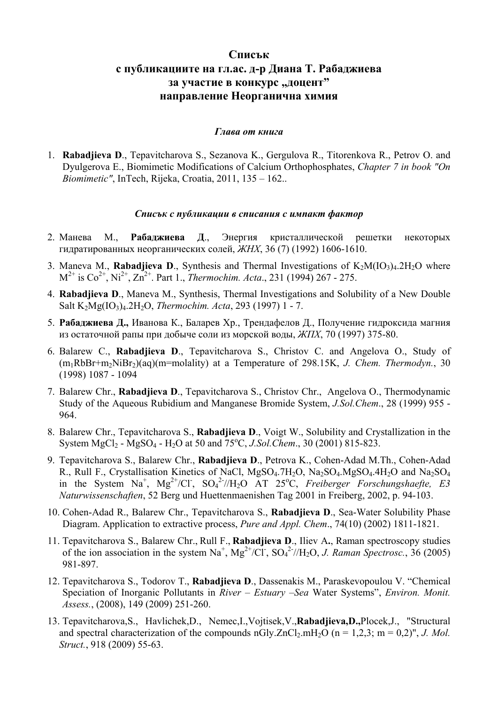# **Списък с публикациите на гл.ас. д-р Диана Т. Рабаджиева за участие в конкурс "доцент" направление Неорганична химия**

#### *Глава от книга*

1. **Rabadjieva D**., Tepavitcharova S., Sezanova K., Gergulova R., Titorenkova R., Petrov O. and Dyulgerova E., Biomimetic Modifications of Calcium Orthophosphates, *Chapter 7 in book "On Biomimetic"*, InTech, Rijeka, Croatia, 2011, 135 – 162..

### *Списък с публикации в списания с импакт фактор*

- 2. Манева М., **Рабаджиева Д**., Энергия кристаллической решетки некоторых гидратированных неорганических солей, *ЖНХ*, 36 (7) (1992) 1606-1610.
- 3. Maneva M., **Rabadjieva D.**, Synthesis and Thermal Investigations of  $K_2M(IO_3)_4.2H_2O$  where  $M^{2+}$  is  $Co^{2+}$ ,  $Ni^{2+}$ ,  $Zn^{2+}$ . Part 1., *Thermochim. Acta.*, 231 (1994) 267 - 275.
- 4. **Rabadjieva D**., Maneva M., Synthesis, Thermal Investigations and Solubility of a New Double Salt K2Mg(IO3)4.2H2O, *Thermochim. Acta*, 293 (1997) 1 - 7.
- 5. **Рабаджиева Д.,** Иванова К., Баларев Хр., Трендафелов Д., Получение гидроксида магния из остаточной рапы при добыче соли из морской воды, *ЖПХ*, 70 (1997) 375-80.
- 6. Balarew C., **Rabadjieva D**., Tepavitcharova S., Christov C. and Angelova O., Study of (m1RbBr+m2NiBr2)(aq)(m=molality) at a Temperature of 298.15K, *J. Chem. Thermodyn.*, 30 (1998) 1087 - 1094
- 7. Balarew Chr., **Rabadjieva D**., Tepavitcharova S., Christov Chr., Angelova O., Thermodynamic Study of the Aqueous Rubidium and Manganese Bromide System, *J.Sol.Chem*., 28 (1999) 955 - 964.
- 8. Balarew Chr., Tepavitcharova S., **Rabadjieva D**., Voigt W., Solubility and Crystallization in the System MgCl<sub>2</sub> - MgSO<sub>4</sub> - H<sub>2</sub>O at 50 and 75<sup>o</sup>C, *J.Sol.Chem.*, 30 (2001) 815-823.
- 9. Tepavitcharova S., Balarew Chr., **Rabadjieva D**., Petrova K., Cohen-Adad M.Th., Cohen-Adad R., Rull F., Crystallisation Kinetics of NaCl, MgSO<sub>4</sub>.7H<sub>2</sub>O, Na<sub>2</sub>SO<sub>4</sub>.MgSO<sub>4</sub>.4H<sub>2</sub>O and Na<sub>2</sub>SO<sub>4</sub> in the System Na<sup>+</sup>, Mg<sup>2+</sup>/Cl<sup>-</sup>, SO<sub>4</sub><sup>2-</sup>//H<sub>2</sub>O AT 25<sup>o</sup>C, *Freiberger Forschungshaefte, E3 Naturwissenschaften*, 52 Berg und Huettenmaenishen Tag 2001 in Freiberg, 2002, p. 94-103.
- 10. Cohen-Adad R., Balarew Chr., Tepavitcharova S., **Rabadjieva D**., Sea-Water Solubility Phase Diagram. Application to extractive process, *Pure and Appl. Chem*., 74(10) (2002) 1811-1821.
- 11. Tepavitcharova S., Balarew Chr., Rull F., **Rabadjieva D**., Iliev A**.**, Raman spectroscopy studies of the ion association in the system Na<sup>+</sup>, Mg<sup>2+</sup>/Cl<sup>-</sup>, SO<sub>4</sub><sup>2-</sup>//H<sub>2</sub>O, *J. Raman Spectrosc.*, 36 (2005) 981-897.
- 12. Tepavitcharova S., Todorov T., **Rabadjieva D**., Dassenakis M., Paraskevopoulou V. "Chemical Speciation оf Inorganic Pollutants in *River – Estuary –Sea* Water Systems", *Environ. Monit. Assess.*, (2008), 149 (2009) 251-260.
- 13. Tepavitcharova,S., Havlichek,D., Nemec,I.,Vojtisek,V.,**Rabadjieva,D.,**Plocek,J., "Structural and spectral characterization of the compounds nGly.ZnCl<sub>2</sub>.mH<sub>2</sub>O (n = 1,2,3; m = 0,2)", *J. Mol. Struct.*, 918 (2009) 55-63.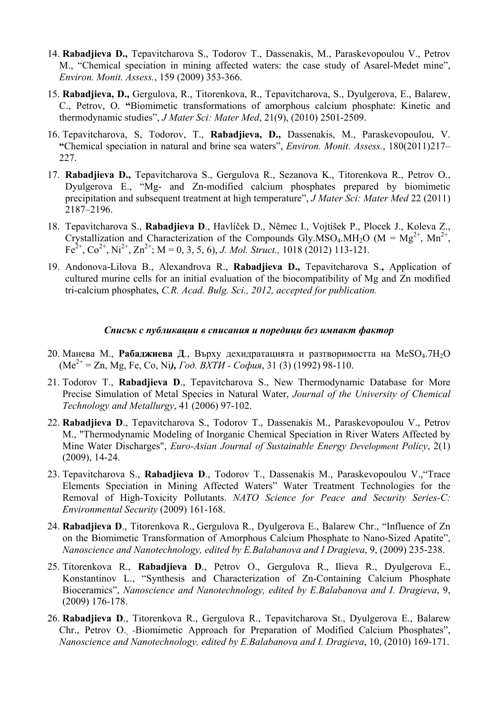- 14. **Rabadjieva D.,** Tepavitcharova S., Todorov T., Dassenakis, M., Paraskevopoulou V., Petrov М., "Chemical speciation in mining affected waters: the case study of Asarel-Medet mine", *Environ. Monit. Assess.*, 159 (2009) 353-366.
- 15. **Rabadjieva, D.,** Gergulova, R., Titorenkova, R., Tepavitcharova, S., Dyulgerova, E., Balarew, C., Petrov, O. **"**Biomimetic transformations of amorphous calcium phosphate: Kinetic and thermodynamic studies", *J Mater Sci: Mater Med*, 21(9), (2010) 2501-2509.
- 16. Tepavitcharova, S, Todorov, T., **Rabadjieva, D.,** Dassenakis, M., Paraskevopoulou, V. **"**Chemical speciation in natural and brine sea waters", *Environ. Monit. Assess.*, 180(2011)217– 227.
- 17. **Rabadjieva D.,** Tepavitcharova S., Gergulova R., Sezanova K., Titorenkova R., Petrov O., Dyulgerova E., "Mg- and Zn-modified calcium phosphates prepared by biomimetic precipitation and subsequent treatment at high temperature", *J Mater Sci: Mater Med* 22 (2011) 2187–2196.
- 18. Tepavitcharova S., **Rabadjieva D**., Havlíček D., Němec I., Vojtíšek P., Plocek J., Koleva Z., Crystallization and Characterization of the Compounds Gly.MSO<sub>4</sub>.MH<sub>2</sub>O (M = Mg<sup>2+</sup>, Mn<sup>2+</sup>,  $Fe<sup>2+</sup>, Co<sup>2+</sup>, Ni<sup>2+</sup>, Zn<sup>2+</sup>; M = 0, 3, 5, 6), *J. Mol. Struct.*, 1018 (2012) 113-121.$
- 19. Andonova-Lilova B., Alexandrova R., **Rabadjieva D.,** Tepavitcharova S.**,** Application of cultured murine cells for an initial evaluation of the biocompatibility of Mg and Zn modified tri-calcium phosphates, *C.R. Acad. Bulg. Sci., 2012, accepted for publication.*

#### *Списък с публикации в списания и поредици без импакт фактор*

- 20. Манева М., Рабаджиева Д., Върху дехидратацията и разтворимостта на MeSO<sub>4</sub>.7H<sub>2</sub>O (Me2+ = Zn, Mg, Fe, Co, Ni*), Год. ВХТИ - София*, 31 (3) (1992) 98-110.
- 21. Todorov T., **Rabadjieva D**., Tepavitcharova S., New Thermodynamic Database for More Precise Simulation of Metal Species in Natural Water, *Journal of the University of Chemical Technology and Metallurgy*, 41 (2006) 97-102.
- 22. **Rabadjieva D**., Tepavitcharova S., Todorov T., Dassenakis M., Paraskevopoulou V., Petrov M., "Thermodynamic Modeling of Inorganic Chemical Speciation in River Waters Affected by Mine Water Discharges", *Euro-Asian Journal of Sustainable Energy Development Policy*, 2(1) (2009), 14-24.
- 23. Tepavitcharova S., **Rabadjieva D**., Todorov T., Dassenakis M., Paraskevopoulou V.,"Trace Elements Speciation in Mining Affected Waters" Water Treatment Technologies for the Removal of High-Toxicity Pollutants. *NATO Science for Peace and Security Series-C: Environmental Security* (2009) 161-168.
- 24. **Rabadjieva D**., Titorenkova R., Gergulova R., Dyulgerova E., Balarew Chr., "Influence of Zn on the Biomimetic Transformation of Amorphous Calcium Phosphate to Nano-Sized Apatite", *Nanoscience and Nanotechnology, edited by E.Balabanova and I Dragieva*, 9, (2009) 235-238.
- 25. Titorenkova R., **Rabadjieva D**., Petrov O., Gergulova R., Ilieva R., Dyulgerova E., Konstantinov L., "Synthesis and Characterization of Zn-Containing Calcium Phosphate Bioceramics", *Nanoscience and Nanotechnology, edited by E.Balabanova and I. Dragieva*, 9, (2009) 176-178.
- 26. **Rabadjieva D**., Titorenkova R., Gergulova R., Tepavitcharova St., Dyulgerova E., Balarew Chr., Petrov O., "Biomimetic Approach for Preparation of Modified Calcium Phosphates", *Nanoscience and Nanotechnology, edited by E.Balabanova and I. Dragieva*, 10, (2010) 169-171.